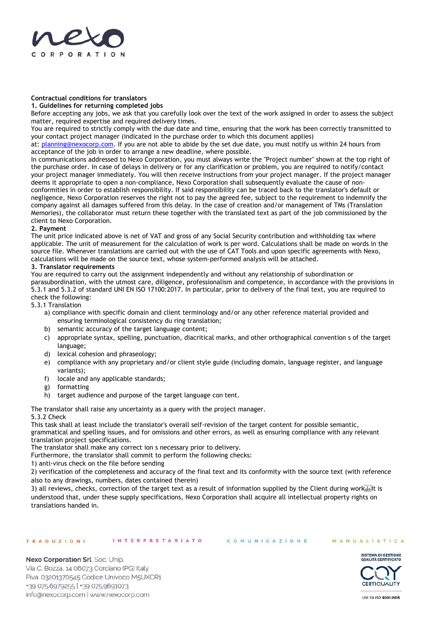

# **Contractual conditions for translators**

## **1. Guidelines for returning completed jobs**

Before accepting any jobs, we ask that you carefully look over the text of the work assigned in order to assess the subject matter, required expertise and required delivery times.

You are required to strictly comply with the due date and time, ensuring that the work has been correctly transmitted to your contact project manager (indicated in the purchase order to which this document applies)

at: [planning@nexocorp.com.](mailto:planning@nexocorp.com) If you are not able to abide by the set due date, you must notify us within 24 hours from acceptance of the job in order to arrange a new deadline, where possible.

In communications addressed to Nexo Corporation, you must always write the "Project number" shown at the top right of the purchase order. In case of delays in delivery or for any clarification or problem, you are required to notify/contact your project manager immediately. You will then receive instructions from your project manager. If the project manager deems it appropriate to open a non-compliance, Nexo Corporation shall subsequently evaluate the cause of nonconformities in order to establish responsibility. If said responsibility can be traced back to the translator's default or negligence, Nexo Corporation reserves the right not to pay the agreed fee, subject to the requirement to indemnify the company against all damages suffered from this delay. In the case of creation and/or management of TMs (Translation Memories), the collaborator must return these together with the translated text as part of the job commissioned by the client to Nexo Corporation.

# **2. Payment**

The unit price indicated above is net of VAT and gross of any Social Security contribution and withholding tax where applicable. The unit of measurement for the calculation of work is per word. Calculations shall be made on words in the source file. Whenever translations are carried out with the use of CAT Tools and upon specific agreements with Nexo, calculations will be made on the source text, whose system-performed analysis will be attached.

# **3. Translator requirements**

You are required to carry out the assignment independently and without any relationship of subordination or parasubordination, with the utmost care, diligence, professionalism and competence, in accordance with the provisions in 5.3.1 and 5.3.2 of standard UNI EN ISO 17100:2017. In particular, prior to delivery of the final text, you are required to check the following:

5.3.1 Translation

- a) compliance with specific domain and client terminology and/or any other reference material provided and ensuring terminological consistency du ring translation;
- b) semantic accuracy of the target language content;
- c) appropriate syntax, spelling, punctuation, diacritical marks, and other orthographical convention s of the target language;
- d) lexical cohesion and phraseology;
- e) compliance with any proprietary and/or client style guide (including domain, language register, and language variants);
- f) locale and any applicable standards;
- g) formatting
- h) target audience and purpose of the target language con tent.

The translator shall raise any uncertainty as a query with the project manager.

5.3.2 Check

This task shall at least include the translator's overall self-revision of the target content for possible semantic, grammatical and spelling issues, and for omissions and other errors, as well as ensuring compliance with any relevant translation project specifications.

The translator shall make any correct ion s necessary prior to delivery.

Furthermore, the translator shall commit to perform the following checks:

1) anti-virus check on the file before sending

2) verification of the completeness and accuracy of the final text and its conformity with the source text (with reference also to any drawings, numbers, dates contained therein)

3) all reviews, checks, correction of the target text as a result of information supplied by the Client during work understood that, under these supply specifications, Nexo Corporation shall acquire all intellectual property rights on translations handed in.

#### TRADUZIONI INTERPRETARIATO

COMUNICAZIONE

MANUALISTICA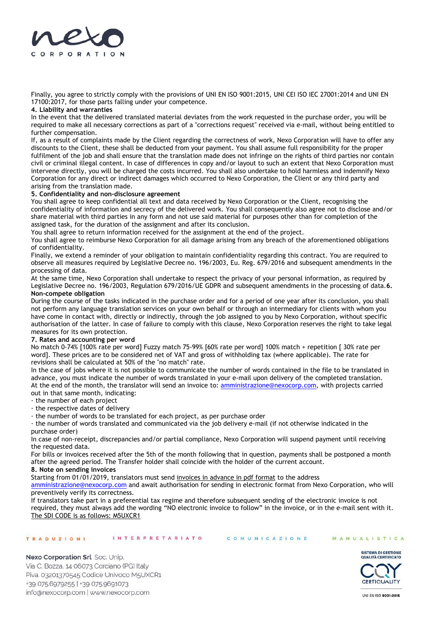

Finally, you agree to strictly comply with the provisions of UNI EN ISO 9001:2015, UNI CEI ISO IEC 27001:2014 and UNI EN 17100:2017, for those parts falling under your competence.

# **4. Liability and warranties**

In the event that the delivered translated material deviates from the work requested in the purchase order, you will be required to make all necessary corrections as part of a "corrections request" received via e-mail, without being entitled to further compensation.

If, as a result of complaints made by the Client regarding the correctness of work, Nexo Corporation will have to offer any discounts to the Client, these shall be deducted from your payment. You shall assume full responsibility for the proper fulfilment of the job and shall ensure that the translation made does not infringe on the rights of third parties nor contain civil or criminal illegal content. In case of differences in copy and/or layout to such an extent that Nexo Corporation must intervene directly, you will be charged the costs incurred. You shall also undertake to hold harmless and indemnify Nexo Corporation for any direct or indirect damages which occurred to Nexo Corporation, the Client or any third party and arising from the translation made.

# **5. Confidentiality and non-disclosure agreement**

You shall agree to keep confidential all text and data received by Nexo Corporation or the Client, recognising the confidentiality of information and secrecy of the delivered work. You shall consequently also agree not to disclose and/or share material with third parties in any form and not use said material for purposes other than for completion of the assigned task, for the duration of the assignment and after its conclusion.

You shall agree to return information received for the assignment at the end of the project.

You shall agree to reimburse Nexo Corporation for all damage arising from any breach of the aforementioned obligations of confidentiality.

Finally, we extend a reminder of your obligation to maintain confidentiality regarding this contract. You are required to observe all measures required by Legislative Decree no. 196/2003, Eu. Reg. 679/2016 and subsequent amendments in the processing of data.

At the same time, Nexo Corporation shall undertake to respect the privacy of your personal information, as required by Legislative Decree no. 196/2003, Regulation 679/2016/UE GDPR and subsequent amendments in the processing of data.**6. Non-compete obligation**

During the course of the tasks indicated in the purchase order and for a period of one year after its conclusion, you shall not perform any language translation services on your own behalf or through an intermediary for clients with whom you have come in contact with, directly or indirectly, through the job assigned to you by Nexo Corporation, without specific authorisation of the latter. In case of failure to comply with this clause, Nexo Corporation reserves the right to take legal measures for its own protection.

# **7. Rates and accounting per word**

No match 0-74% [100% rate per word] Fuzzy match 75-99% [60% rate per word] 100% match + repetition [ 30% rate per word]. These prices are to be considered net of VAT and gross of withholding tax (where applicable). The rate for revisions shall be calculated at 50% of the "no match" rate.

In the case of jobs where it is not possible to communicate the number of words contained in the file to be translated in advance, you must indicate the number of words translated in your e-mail upon delivery of the completed translation. At the end of the month, the translator will send an invoice to: [amministrazione@nexocorp.com,](mailto:amministrazione@nexocorp.com) with projects carried out in that same month, indicating:

· the number of each project

 $\cdot$  the respective dates of delivery

· the number of words to be translated for each project, as per purchase order

· the number of words translated and communicated via the job delivery e-mail (if not otherwise indicated in the purchase order)

In case of non-receipt, discrepancies and/or partial compliance, Nexo Corporation will suspend payment until receiving the requested data.

For bills or invoices received after the 5th of the month following that in question, payments shall be postponed a month after the agreed period. The Transfer holder shall coincide with the holder of the current account.

# **8. Note on sending invoices**

Starting from 01/01/2019, translators must send invoices in advance in pdf format to the address

[amministrazione@nexocorp.com](mailto:amministrazione@nexocorp.com) and await authorisation for sending in electronic format from Nexo Corporation, who will preventively verify its correctness.

If translators take part in a preferential tax regime and therefore subsequent sending of the electronic invoice is not required, they must always add the wording "NO electronic invoice to follow" in the invoice, or in the e-mail sent with it. The SDI CODE is as follows: M5UXCR1

COMUNICAZIONE

#### INTERPRETARIATO TRADUZIONI

Nexo Corporation Srl Soc. Unip. Via C. Bozza, 14 06073 Corciano (PG) Italy Piva. 03201370545 Codice Univoco M5UXCR1 +39 075 6979255 | +39 075 9691073 info@nexocorp.com | www.nexocorp.com

# MANUALISTICA



UNI EN ISO 9001:2015